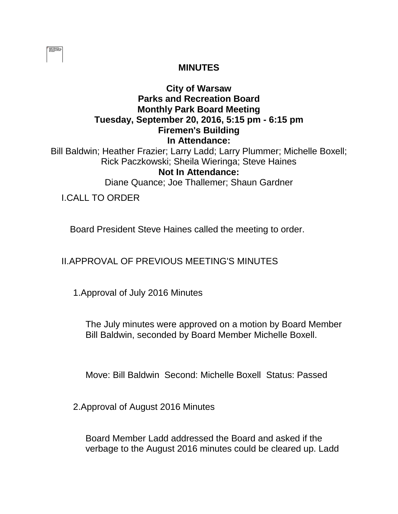| ------- |  |
|---------|--|
|         |  |
|         |  |
|         |  |
|         |  |
|         |  |
|         |  |

## **MINUTES**

## **City of Warsaw Parks and Recreation Board Monthly Park Board Meeting Tuesday, September 20, 2016, 5:15 pm - 6:15 pm Firemen's Building In Attendance:**

Bill Baldwin; Heather Frazier; Larry Ladd; Larry Plummer; Michelle Boxell; Rick Paczkowski; Sheila Wieringa; Steve Haines **Not In Attendance:** 

Diane Quance; Joe Thallemer; Shaun Gardner

I.CALL TO ORDER

Board President Steve Haines called the meeting to order.

II.APPROVAL OF PREVIOUS MEETING'S MINUTES

1.Approval of July 2016 Minutes

The July minutes were approved on a motion by Board Member Bill Baldwin, seconded by Board Member Michelle Boxell.

Move: Bill Baldwin Second: Michelle Boxell Status: Passed

2.Approval of August 2016 Minutes

Board Member Ladd addressed the Board and asked if the verbage to the August 2016 minutes could be cleared up. Ladd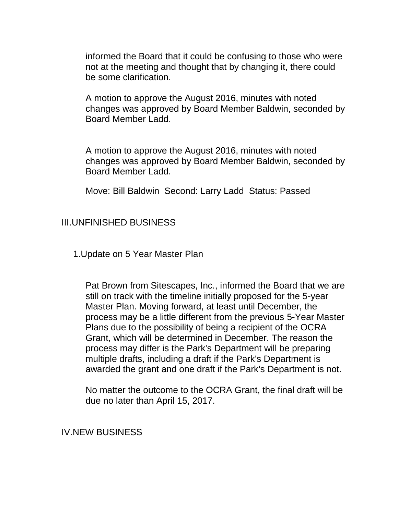informed the Board that it could be confusing to those who were not at the meeting and thought that by changing it, there could be some clarification.

A motion to approve the August 2016, minutes with noted changes was approved by Board Member Baldwin, seconded by Board Member Ladd.

A motion to approve the August 2016, minutes with noted changes was approved by Board Member Baldwin, seconded by Board Member Ladd.

Move: Bill Baldwin Second: Larry Ladd Status: Passed

## III.UNFINISHED BUSINESS

1.Update on 5 Year Master Plan

Pat Brown from Sitescapes, Inc., informed the Board that we are still on track with the timeline initially proposed for the 5-year Master Plan. Moving forward, at least until December, the process may be a little different from the previous 5-Year Master Plans due to the possibility of being a recipient of the OCRA Grant, which will be determined in December. The reason the process may differ is the Park's Department will be preparing multiple drafts, including a draft if the Park's Department is awarded the grant and one draft if the Park's Department is not.

No matter the outcome to the OCRA Grant, the final draft will be due no later than April 15, 2017.

IV.NEW BUSINESS